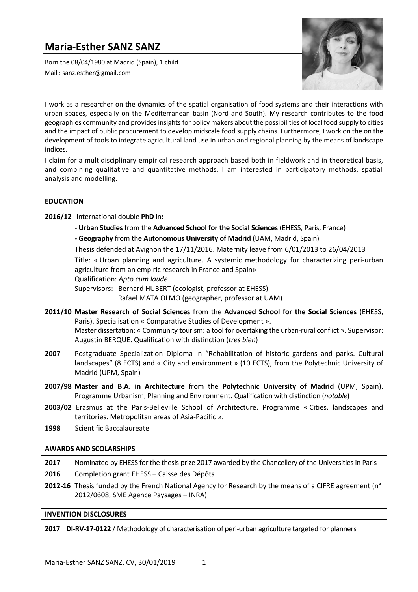# **Maria-Esther SANZ SANZ**

Born the 08/04/1980 at Madrid (Spain), 1 child Mail : [sanz.esther@gmail.com](mailto:sanz.esther@gmail.com)



I work as a researcher on the dynamics of the spatial organisation of food systems and their interactions with urban spaces, especially on the Mediterranean basin (Nord and South). My research contributes to the food geographies community and provides insights for policy makers about the possibilities of local food supply to cities and the impact of public procurement to develop midscale food supply chains. Furthermore, I work on the on the development of tools to integrate agricultural land use in urban and regional planning by the means of landscape indices.

I claim for a multidisciplinary empirical research approach based both in fieldwork and in theoretical basis, and combining qualitative and quantitative methods. I am interested in participatory methods, spatial analysis and modelling.

## **EDUCATION**

**2016/12** International double **PhD** in**:**

- **Urban Studies** from the **Advanced School for the Social Sciences** (EHESS, Paris, France)
- **- Geography** from the **Autonomous University of Madrid** (UAM, Madrid, Spain)

Thesis defended at Avignon the 17/11/2016. Maternity leave from 6/01/2013 to 26/04/2013

Title: « Urban planning and agriculture. A systemic methodology for characterizing peri-urban agriculture from an empiric research in France and Spain»

Qualification: *Apto cum laude*

Supervisors: Bernard HUBERT (ecologist, professor at EHESS)

Rafael MATA OLMO (geographer, professor at UAM)

- **2011/10 Master Research of Social Sciences** from the **Advanced School for the Social Sciences** (EHESS, Paris). Specialisation « Comparative Studies of Development ». Master dissertation: « Community tourism: a tool for overtaking the urban-rural conflict ». Supervisor: Augustin BERQUE. Qualification with distinction (*très bien*)
- **2007** Postgraduate Specialization Diploma in "Rehabilitation of historic gardens and parks. Cultural landscapes" (8 ECTS) and « City and environment » (10 ECTS), from the Polytechnic University of Madrid (UPM, Spain)
- **2007/98 Master and B.A. in Architecture** from the **Polytechnic University of Madrid** (UPM, Spain). Programme Urbanism, Planning and Environment. Qualification with distinction (*notable*)
- **2003/02** Erasmus at the Paris-Belleville School of Architecture. Programme « Cities, landscapes and territories. Metropolitan areas of Asia-Pacific ».
- **1998** Scientific [Baccalaureate](https://www.linguee.fr/anglais-francais/traduction/baccalaureate.html)

## **AWARDS AND SCOLARSHIPS**

**2017** Nominated by EHESS for the thesis prize 2017 awarded by the Chancellery of the Universities in Paris **2016** Completion grant EHESS – Caisse des Dépôts **2012-16** Thesis funded by the French National Agency for Research by the means of a CIFRE agreement (n°

2012/0608, SME Agence Paysages – INRA)

## **INVENTION DISCLOSURES**

**2017 DI-RV-17-0122** / Methodology of characterisation of peri-urban agriculture targeted for planners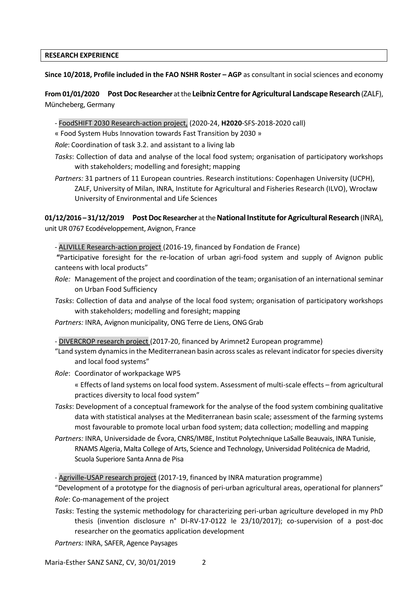## **RESEARCH EXPERIENCE**

**Since 10/2018, Profile included in the FAO NSHR Roster – AGP** as consultant in social sciences and economy

**From 01/01/2020 Post Doc Researcher** at the **Leibniz Centre for Agricultural Landscape Research** (ZALF), Müncheberg, Germany

- FoodSHIFT 2030 Research-action project, (2020-24, **H2020**-SFS-2018-2020 call)

« Food System Hubs Innovation towards Fast Transition by 2030 »

*Role*: Coordination of task 3.2. and assistant to a living lab

- *Tasks*: Collection of data and analyse of the local food system; organisation of participatory workshops with stakeholders; modelling and foresight; mapping
- *Partners:* 31 partners of 11 European countries. Research institutions: Copenhagen University (UCPH), ZALF, University of Milan, INRA, Institute for Agricultural and Fisheries Research (ILVO), Wrocław University of Environmental and Life Sciences

**01/12/2016 – 31/12/2019 Post Doc Researcher** at the **National Institute for Agricultural Research** (INRA), unit UR 0767 Ecodéveloppement, Avignon, France

- ALIVILLE Research-action project (2016-19, financed by Fondation de France)

**"**Participative foresight for the re-location of urban agri-food system and supply of Avignon public canteens with local products"

- *Role:* Management of the project and coordination of the team; organisation of an international seminar on Urban Food Sufficiency
- *Tasks*: Collection of data and analyse of the local food system; organisation of participatory workshops with stakeholders; modelling and foresight; mapping
- *Partners:* INRA, Avignon municipality, ONG Terre de Liens, ONG Grab

- DIVERCROP research project (2017-20, financed by Arimnet2 European programme)

- "Land system dynamics in the Mediterranean basin across scales as relevant indicator for species diversity and local food systems"
- *Role*: Coordinator of workpackage WP5

« Effects of land systems on local food system. Assessment of multi-scale effects – from agricultural practices diversity to local food system"

- *Tasks*: Development of a conceptual framework for the analyse of the food system combining qualitative data with statistical analyses at the Mediterranean basin scale; assessment of the farming systems most favourable to promote local urban food system; data collection; modelling and mapping
- *Partners:* INRA, Universidade de Évora, CNRS/IMBE, Institut Polytechnique LaSalle Beauvais, INRA Tunisie, RNAMS Algeria, Malta College of Arts, Science and Technology, Universidad Politécnica de Madrid, Scuola Superiore Santa Anna de Pisa

- Agriville-USAP research project (2017-19, financed by INRA maturation programme)

"Development of a prototype for the diagnosis of peri-urban agricultural areas, operational for planners" *Role*: Co-management of the project

*Tasks*: Testing the systemic methodology for characterizing peri-urban agriculture developed in my PhD thesis (invention disclosure n° DI-RV-17-0122 le 23/10/2017); co-supervision of a post-doc researcher on the geomatics application development

*Partners:* INRA, SAFER, Agence Paysages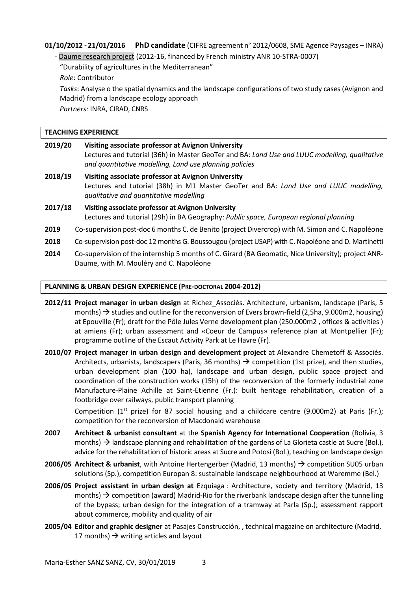## **01/10/2012 - 21/01/2016 PhD candidate** (CIFRE agreement n° 2012/0608, SME Agence Paysages – INRA)

- Daume research project (2012-16, financed by French ministry ANR 10-STRA-0007)

"Durability of agricultures in the Mediterranean"

*Role*: Contributor

*Tasks*: Analyse o the spatial dynamics and the landscape configurations of two study cases (Avignon and Madrid) from a landscape ecology approach

*Partners:* INRA, CIRAD, CNRS

## **TEACHING EXPERIENCE**

| 2019/20 | Visiting associate professor at Avignon University<br>Lectures and tutorial (36h) in Master GeoTer and BA: Land Use and LUUC modelling, qualitative<br>and quantitative modelling, Land use planning policies |
|---------|---------------------------------------------------------------------------------------------------------------------------------------------------------------------------------------------------------------|
| 2018/19 | Visiting associate professor at Avignon University<br>Lectures and tutorial (38h) in M1 Master GeoTer and BA: Land Use and LUUC modelling,<br>qualitative and quantitative modelling                          |
| 2017/18 | Visiting associate professor at Avignon University<br>Lectures and tutorial (29h) in BA Geography: Public space, European regional planning                                                                   |

- **2019** Co-supervision post-doc 6 months C. de Benito (project Divercrop) with M. Simon and C. Napoléone
- **2018** Co-supervision post-doc 12 months G. Boussougou (project USAP) with C. Napoléone and D. Martinetti
- **2014** Co-supervision of the internship 5 months of C. Girard (BA Geomatic, Nice University); project ANR-Daume, with M. Mouléry and C. Napoléone

## **PLANNING & URBAN DESIGN EXPERIENCE (PRE-DOCTORAL 2004-2012)**

- **2012/11 Project manager in urban design** at Richez\_Associés. Architecture, urbanism, landscape (Paris, 5 months)  $\rightarrow$  studies and outline for the reconversion of Evers brown-field (2,5ha, 9.000m2, housing) at Epouville (Fr); draft for the Pôle Jules Verne development plan (250.000m2 , offices & activities ) at amiens (Fr); urban assessment and «Coeur de Campus» reference plan at Montpellier (Fr); programme outline of the Escaut Activity Park at Le Havre (Fr).
- **2010/07 Project manager in urban design and development project** at Alexandre Chemetoff & Associés. Architects, urbanists, landscapers (Paris, 36 months)  $\rightarrow$  competition (1st prize), and then studies, urban development plan (100 ha), landscape and urban design, public space project and coordination of the construction works (15h) of the reconversion of the formerly industrial zone Manufacture-Plaine Achille at Saint-Etienne (Fr.): built heritage rehabilitation, creation of a footbridge over railways, public transport planning

Competition ( $1^{st}$  prize) for 87 social housing and a childcare centre (9.000m2) at Paris (Fr.); competition for the reconversion of Macdonald warehouse

- **2007 Architect & urbanist consultant** at the **Spanish Agency for International Cooperation** (Bolivia, 3 months)  $\rightarrow$  landscape planning and rehabilitation of the gardens of La Glorieta castle at Sucre (Bol.), advice for the rehabilitation of historic areas at Sucre and Potosi (Bol.), teaching on landscape design
- **2006/05 Architect & urbanist**, with Antoine Hertengerber (Madrid, 13 months) → competition SU05 urban solutions (Sp.), competition Europan 8: sustainable landscape neighbourhood at Waremme (Bel.)
- **2006/05 Project assistant in urban design at** Ezquiaga : Architecture, society and territory (Madrid, 13 months)  $\rightarrow$  competition (award) Madrid-Rio for the riverbank landscape design after the tunnelling of the bypass; urban design for the integration of a tramway at Parla (Sp.); assessment rapport about commerce, mobility and quality of air
- **2005/04 Editor and graphic designer** at Pasajes Construcción, , technical magazine on architecture (Madrid, 17 months)  $\rightarrow$  writing articles and layout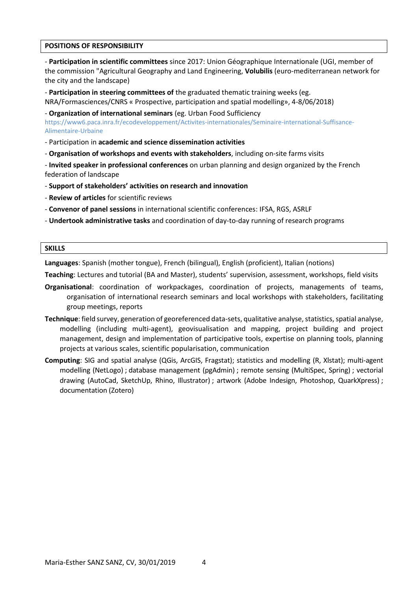#### **POSITIONS OF RESPONSIBILITY**

- **Participation in scientific committees** since 2017: Union Géographique Internationale (UGI, member of the commission "Agricultural Geography and Land Engineering, **Volubilis** (euro-mediterranean network for the city and the landscape)

- **Participation in steering committees of** the graduated thematic training weeks (eg.

NRA/Formasciences/CNRS « Prospective, participation and spatial modelling», 4-8/06/2018)

- **Organization of international seminars** (eg. Urban Food Sufficiency

[https://www6.paca.inra.fr/ecodeveloppement/Activites-internationales/Seminaire-international-Suffisance-](https://www6.paca.inra.fr/ecodeveloppement/Activites-internationales/Seminaire-international-Suffisance-Alimentaire-Urbaine)[Alimentaire-Urbaine](https://www6.paca.inra.fr/ecodeveloppement/Activites-internationales/Seminaire-international-Suffisance-Alimentaire-Urbaine)

- Participation in **academic and science dissemination activities**

- **Organisation of workshops and events with stakeholders**, including on-site farms visits

- **Invited speaker in professional conferences** on urban planning and design organized by the French federation of landscape

- **Support of stakeholders' activities on research and innovation**
- **Review of articles** for scientific reviews
- **Convenor of panel sessions** in international scientific conferences: IFSA, RGS, ASRLF
- **Undertook administrative tasks** and coordination of day-to-day running of research programs

#### **SKILLS**

**Languages**: Spanish (mother tongue), French (bilingual), English (proficient), Italian (notions)

**Teaching**: Lectures and tutorial (BA and Master), students' supervision, assessment, workshops, field visits

- **Organisational**: coordination of workpackages, coordination of projects, managements of teams, organisation of international research seminars and local workshops with stakeholders, facilitating group meetings, reports
- **Technique**: field survey, generation of georeferenced data-sets, qualitative analyse, statistics, spatial analyse, modelling (including multi-agent), geovisualisation and mapping, project building and project management, design and implementation of participative tools, expertise on planning tools, planning projects at various scales, scientific popularisation, communication
- **Computing**: SIG and spatial analyse (QGis, ArcGIS, Fragstat); statistics and modelling (R, Xlstat); multi-agent modelling (NetLogo) ; database management (pgAdmin) ; remote sensing (MultiSpec, Spring) ; vectorial drawing (AutoCad, SketchUp, Rhino, Illustrator) ; artwork (Adobe Indesign, Photoshop, QuarkXpress) ; documentation (Zotero)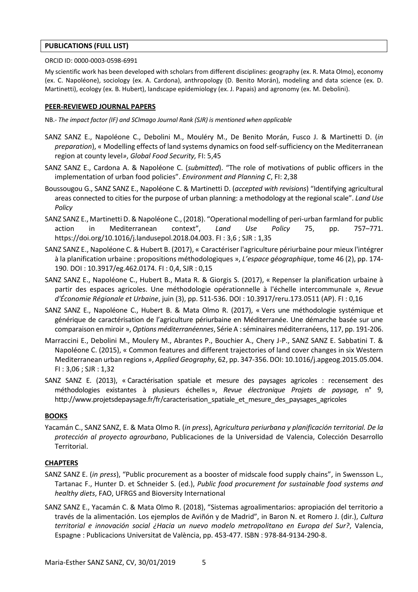## **PUBLICATIONS (FULL LIST)**

#### ORCID ID: 0000-0003-0598-6991

My scientific work has been developed with scholars from different disciplines: geography (ex. R. Mata Olmo), economy (ex. C. Napoléone), sociology (ex. A. Cardona), anthropology (D. Benito Morán), modeling and data science (ex. D. Martinetti), ecology (ex. B. Hubert), landscape epidemiology (ex. J. Papais) and agronomy (ex. M. Debolini).

## **PEER-REVIEWED JOURNAL PAPERS**

- NB.- *The impact factor (IF) and SCImago Journal Rank (SJR) is mentioned when applicable*
- SANZ SANZ E., Napoléone C., Debolini M., Mouléry M., De Benito Morán, Fusco J. & Martinetti D. (*in preparation*), « Modelling effects of land systems dynamics on food self-sufficiency on the Mediterranean region at county level*»*, *Global Food Security,* FI: 5,45
- SANZ SANZ E., Cardona A. & Napoléone C. (*submitted*). "The role of motivations of public officers in the implementation of urban food policies". *Environment and Planning C*, FI: 2,38
- Boussougou G., SANZ SANZ E., Napoléone C. & Martinetti D. (*accepted with revisions*) "Identifying agricultural areas connected to cities for the purpose of urban planning: a methodology at the regional scale". *Land Use Policy*
- SANZ SANZ E., Martinetti D. & Napoléone C., (2018). "Operational modelling of peri-urban farmland for public action in Mediterranean context", *Land Use Policy* 75, pp. 757–771. [https://doi.org/10.1016/j.landusepol.2018.04.003.](https://doi.org/10.1016/j.landusepol.2018.04.003) FI : 3,6 ; SJR : 1,35
- SANZ SANZ E., Napoléone C. & Hubert B. (2017), « Caractériser l'agriculture périurbaine pour mieux l'intégrer à la planification urbaine : propositions méthodologiques », *L'espace géographique*, tome 46 (2), pp. 174- 190. DOI : 10.3917/eg.462.0174. FI : 0,4, SJR : 0,15
- SANZ SANZ E., Napoléone C., Hubert B., Mata R. & Giorgis S. (2017), « Repenser la planification urbaine à partir des espaces agricoles. Une méthodologie opérationnelle à l'échelle intercommunale », *Revue d'Économie Régionale et Urbaine*, juin (3), pp. 511-536. DOI : 10.3917/reru.173.0511 (AP). FI : 0,16
- SANZ SANZ E., Napoléone C., Hubert B. & Mata Olmo R. (2017), « Vers une méthodologie systémique et générique de caractérisation de l'agriculture périurbaine en Méditerranée. Une démarche basée sur une comparaison en miroir », *Options méditerranéennes*, Série A : séminaires méditerranéens, 117, pp. 191-206.
- Marraccini E., Debolini M., Moulery M., Abrantes P., Bouchier A., Chery J-P., SANZ SANZ E. Sabbatini T. & Napoléone C. (2015), « Common features and different trajectories of land cover changes in six Western Mediterranean urban regions », *Applied Geography*, 62, pp. 347-356. DOI: 10.1016/j.apgeog.2015.05.004. FI : 3,06 ; SJR : 1,32
- SANZ SANZ E. (2013), « Caractérisation spatiale et mesure des paysages agricoles : recensement des méthodologies existantes à plusieurs échelles », *Revue électronique Projets de paysage,* n° 9, http://www.projetsdepaysage.fr/fr/caracterisation\_spatiale\_et\_mesure\_des\_paysages\_agricoles

## **BOOKS**

Yacamán C., SANZ SANZ, E. & Mata Olmo R. (*in press*), A*gricultura periurbana y planificación territorial. De la protección al proyecto agrourbano*, Publicaciones de la Universidad de Valencia, Colección Desarrollo Territorial.

## **CHAPTERS**

- SANZ SANZ E. (*in press*), "Public procurement as a booster of midscale food supply chains", in Swensson L., Tartanac F., Hunter D. et Schneider S. (ed.), *Public food procurement for sustainable food systems and healthy diets*, FAO, UFRGS and Bioversity International
- SANZ SANZ E., Yacamán C. & Mata Olmo R. (2018), "Sistemas agroalimentarios: apropiación del territorio a través de la alimentación. Los ejemplos de Aviñón y de Madrid", in Baron N. et Romero J. (dir.), *Cultura territorial e innovación social ¿Hacia un nuevo modelo metropolitano en Europa del Sur?*, Valencia, Espagne : Publicacions Universitat de València, pp. 453-477. ISBN : 978-84-9134-290-8.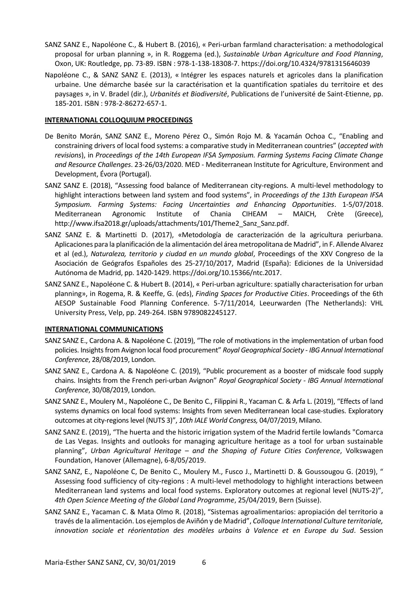- SANZ SANZ E., Napoléone C., & Hubert B. (2016), « Peri-urban farmland characterisation: a methodological proposal for urban planning », in R. Roggema (ed.), *Sustainable Urban Agriculture and Food Planning*, Oxon, UK: Routledge, pp. 73-89. ISBN : 978-1-138-18308-7. https://doi.org/10.4324/9781315646039
- Napoléone C., & SANZ SANZ E. (2013), « Intégrer les espaces naturels et agricoles dans la planification urbaine. Une démarche basée sur la caractérisation et la quantification spatiales du territoire et des paysages », in V. Bradel (dir.), *Urbanités et Biodiversité*, Publications de l'université de Saint-Etienne, pp. 185-201. ISBN : 978-2-86272-657-1.

## **INTERNATIONAL COLLOQUIUM PROCEEDINGS**

- De Benito Morán, SANZ SANZ E., Moreno Pérez O., Simón Rojo M. & Yacamán Ochoa C., "Enabling and constraining drivers of local food systems: a comparative study in Mediterranean countries" (*accepted with revisions*), in *Proceedings of the 14th European IFSA Symposium. Farming Systems Facing Climate Change and Resource Challenges*. 23-26/03/2020. MED - Mediterranean Institute for Agriculture, Environment and Development, Évora (Portugal).
- SANZ SANZ E. (2018), "Assessing food balance of Mediterranean city-regions. A multi-level methodology to highlight interactions between land system and food systems", in *Proceedings of the 13th European IFSA Symposium. Farming Systems: Facing Uncertainties and Enhancing Opportunities*. 1-5/07/2018. Mediterranean Agronomic Institute of Chania CIHEAM – MAICH, Crète (Greece), [http://www.ifsa2018.gr/uploads/attachments/101/Theme2\\_Sanz\\_Sanz.pdf.](http://www.ifsa2018.gr/uploads/attachments/101/Theme2_Sanz_Sanz.pdf)
- SANZ SANZ E. & Martinetti D. (2017), «Metodología de caracterización de la agricultura periurbana. Aplicaciones para la planificación de la alimentación del área metropolitana de Madrid", in F. Allende Alvarez et al (ed.), *Naturaleza, territorio y ciudad en un mundo global*, Proceedings of the XXV Congreso de la Asociación de Geógrafos Españoles des 25-27/10/2017, Madrid (España): Ediciones de la Universidad Autónoma de Madrid, pp. 1420-1429. https://doi.org/10.15366/ntc.2017.
- SANZ SANZ E., Napoléone C. & Hubert B. (2014), « Peri-urban agriculture: spatially characterisation for urban planning», in Rogema, R. & Keeffe, G. (eds), *Finding Spaces for Productive Cities*. Proceedings of the 6th AESOP Sustainable Food Planning Conference. 5-7/11/2014, Leeurwarden (The Netherlands): VHL University Press, Velp, pp. 249-264. ISBN 9789082245127.

## **INTERNATIONAL COMMUNICATIONS**

- SANZ SANZ E., Cardona A. & Napoléone C. (2019), "The role of motivations in the implementation of urban food policies. Insights from Avignon local food procurement" *Royal Geographical Society - IBG Annual International Conference*, 28/08/2019, London.
- SANZ SANZ E., Cardona A. & Napoléone C. (2019), "Public procurement as a booster of midscale food supply chains. Insights from the French peri-urban Avignon" *Royal Geographical Society - IBG Annual International Conference*, 30/08/2019, London.
- SANZ SANZ E., Moulery M., Napoléone C., De Benito C., Filippini R., Yacaman C. & Arfa L. (2019), "Effects of land systems dynamics on local food systems: Insights from seven Mediterranean local case-studies. Exploratory outcomes at city-regions level (NUTS 3)", *10th IALE World Congress,* 04/07/2019, Milano.
- SANZ SANZ E. (2019), "The huerta and the historic irrigation system of the Madrid fertile lowlands "Comarca de Las Vegas. Insights and outlooks for managing agriculture heritage as a tool for urban sustainable planning", *Urban Agricultural Heritage – and the Shaping of Future Cities Conference*, Volkswagen Foundation, Hanover (Allemagne), 6-8/05/2019.
- SANZ SANZ, E., Napoléone C, De Benito C., Moulery M., Fusco J., Martinetti D. & Goussougou G. (2019), " Assessing food sufficiency of city-regions : A multi-level methodology to highlight interactions between Mediterranean land systems and local food systems. Exploratory outcomes at regional level (NUTS-2)", *4th Open Science Meeting of the Global Land Programme*, 25/04/2019, Bern (Suisse).
- SANZ SANZ E., Yacaman C. & Mata Olmo R. (2018), "Sistemas agroalimentarios: apropiación del territorio a través de la alimentación. Los ejemplos de Aviñón y de Madrid", *Colloque International Culture territoriale, innovation sociale et réorientation des modèles urbains à Valence et en Europe du Sud*. Session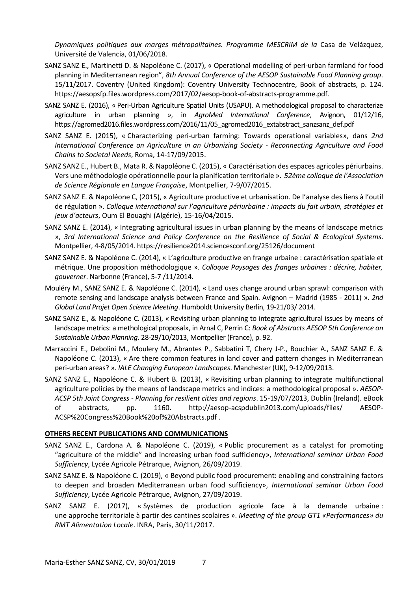*Dynamiques politiques aux marges métropolitaines. Programme MESCRIM de la* Casa de Velázquez, Université de Valencia, 01/06/2018.

- SANZ SANZ E., Martinetti D. & Napoléone C. (2017), « Operational modelling of peri-urban farmland for food planning in Mediterranean region", *8th Annual Conference of the AESOP Sustainable Food Planning group*. 15/11/2017. Coventry (United Kingdom): Coventry University Technocentre, Book of abstracts, p. 124. [https://aesopsfp.files.wordpress.com/2017/02/aesop-book-of-abstracts-programme.pdf.](https://aesopsfp.files.wordpress.com/2017/02/aesop-book-of-abstracts-programme.pdf)
- SANZ SANZ E. (2016), « Peri-Urban Agriculture Spatial Units (USAPU). A methodological proposal to characterize agriculture in urban planning », in *AgroMed International Conference*, Avignon, 01/12/16, [https://agromed2016.files.wordpress.com/2016/11/05\\_agromed2016\\_extabstract\\_sanzsanz\\_def.pdf](https://agromed2016.files.wordpress.com/2016/11/05_agromed2016_extabstract_sanzsanz_def.pdf)
- SANZ SANZ E. (2015), « Characterizing peri-urban farming: Towards operational variables», dans *2nd International Conference on Agriculture in an Urbanizing Society - Reconnecting Agriculture and Food Chains to Societal Needs*, Roma, 14-17/09/2015.
- SANZ SANZ E., Hubert B., Mata R. & Napoléone C. (2015), « Caractérisation des espaces agricoles périurbains. Vers une méthodologie opérationnelle pour la planification territoriale ». *52ème colloque de l'Association de Science Régionale en Langue Française*, Montpellier, 7-9/07/2015.
- SANZ SANZ E. & Napoléone C, (2015), « Agriculture productive et urbanisation. De l'analyse des liens à l'outil de régulation ». *Colloque international sur l'agriculture périurbaine : impacts du fait urbain, stratégies et jeux d'acteurs*, Oum El Bouaghi (Algérie), 15-16/04/2015.
- SANZ SANZ E. (2014), « Integrating agricultural issues in urban planning by the means of landscape metrics », *3rd International Science and Policy Conference on the Resilience of Social & Ecological Systems*. Montpellier, 4-8/05/2014.<https://resilience2014.sciencesconf.org/25126/document>
- SANZ SANZ E. & Napoléone C. (2014), « L'agriculture productive en frange urbaine : caractérisation spatiale et métrique. Une proposition méthodologique ». *Colloque Paysages des franges urbaines : décrire, habiter, gouverner*. Narbonne (France), 5-7 /11/2014.
- Mouléry M., SANZ SANZ E. & Napoléone C. (2014), « Land uses change around urban sprawl: comparison with remote sensing and landscape analysis between France and Spain. Avignon – Madrid (1985 - 2011) ». *2nd Global Land Projet Open Science Meeting*. Humboldt University Berlin, 19-21/03/ 2014.
- SANZ SANZ E., & Napoléone C. (2013), « Revisiting urban planning to integrate agricultural issues by means of landscape metrics: a methological proposal», in Arnal C, Perrin C: *Book of Abstracts AESOP 5th Conference on Sustainable Urban Planning*. 28-29/10/2013, Montpellier (France), p. 92.
- Marraccini E., Debolini M., Moulery M., Abrantes P., Sabbatini T, Chery J-P., Bouchier A., SANZ SANZ E. & Napoléone C. (2013), « Are there common features in land cover and pattern changes in Mediterranean peri-urban areas? ». *IALE Changing European Landscapes*. Manchester (UK), 9-12/09/2013.
- SANZ SANZ E., Napoléone C. & Hubert B. (2013), « Revisiting urban planning to integrate multifunctional agriculture policies by the means of landscape metrics and indices: a methodological proposal ». *AESOP-ACSP 5th Joint Congress* - *Planning for resilient cities and regions*. 15-19/07/2013, Dublin (Ireland). eBook of abstracts, pp. 1160. <http://aesop-acspdublin2013.com/uploads/files/> AESOP-ACSP%20Congress%20Book%20of%20Abstracts.pdf .

## **OTHERS RECENT PUBLICATIONS AND COMMUNICATIONS**

- SANZ SANZ E., Cardona A. & Napoléone C. (2019), « Public procurement as a catalyst for promoting "agriculture of the middle" and increasing urban food sufficiency», *International seminar Urban Food Sufficiency*, Lycée Agricole Pétrarque, Avignon, 26/09/2019.
- SANZ SANZ E. & Napoléone C. (2019), « Beyond public food procurement: enabling and constraining factors to deepen and broaden Mediterranean urban food sufficiency», *International seminar Urban Food Sufficiency*, Lycée Agricole Pétrarque, Avignon, 27/09/2019.
- SANZ SANZ E. (2017), « Systèmes de production agricole face à la demande urbaine : une approche territoriale à partir des cantines scolaires ». *Meeting of the group GT1 «Performances» du RMT Alimentation Locale*. INRA, Paris, 30/11/2017.